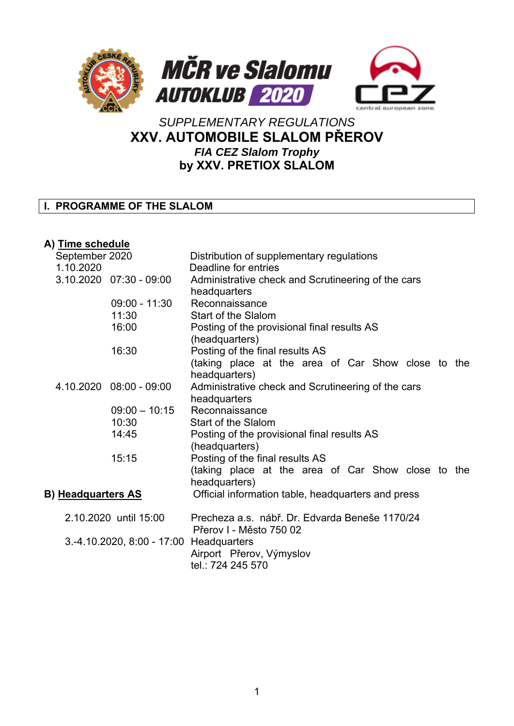

# *SUPPLEMENTARY REGULATIONS*  **XXV. AUTOMOBILE SLALOM PŘEROV**  *FIA CEZ Slalom Trophy*  **by XXV. PRETIOX SLALOM**

# **I. PROGRAMME OF THE SLALOM**

## **A) Time schedule**

| September 2020<br>1.10.2020 |                                                                  |                             | Distribution of supplementary regulations<br>Deadline for entries  |  |  |  |
|-----------------------------|------------------------------------------------------------------|-----------------------------|--------------------------------------------------------------------|--|--|--|
|                             |                                                                  | $3.10.2020$ $07:30 - 09:00$ |                                                                    |  |  |  |
|                             |                                                                  |                             | Administrative check and Scrutineering of the cars<br>headquarters |  |  |  |
|                             |                                                                  | $09:00 - 11:30$             | Reconnaissance                                                     |  |  |  |
|                             |                                                                  | 11:30                       | Start of the Slalom                                                |  |  |  |
|                             |                                                                  | 16:00                       | Posting of the provisional final results AS                        |  |  |  |
|                             |                                                                  |                             | (headquarters)                                                     |  |  |  |
|                             |                                                                  | 16:30                       | Posting of the final results AS                                    |  |  |  |
|                             |                                                                  |                             | (taking place at the area of Car Show close to the                 |  |  |  |
|                             |                                                                  |                             | headquarters)                                                      |  |  |  |
|                             |                                                                  | 4.10.2020 08:00 - 09:00     | Administrative check and Scrutineering of the cars                 |  |  |  |
|                             |                                                                  |                             | headquarters                                                       |  |  |  |
|                             |                                                                  | $09:00 - 10:15$             | Reconnaissance                                                     |  |  |  |
|                             |                                                                  | 10:30                       | Start of the Slalom                                                |  |  |  |
|                             |                                                                  | 14:45                       | Posting of the provisional final results AS                        |  |  |  |
|                             |                                                                  |                             | (headquarters)                                                     |  |  |  |
|                             |                                                                  | 15:15                       | Posting of the final results AS                                    |  |  |  |
|                             |                                                                  |                             | (taking place at the area of Car Show close to the                 |  |  |  |
|                             |                                                                  |                             | headquarters)                                                      |  |  |  |
|                             |                                                                  |                             |                                                                    |  |  |  |
| <b>B) Headquarters AS</b>   |                                                                  |                             | Official information table, headquarters and press                 |  |  |  |
|                             | 2.10.2020 until 15:00<br>3.-4.10.2020, 8:00 - 17:00 Headquarters |                             | Precheza a.s. nábř. Dr. Edvarda Beneše 1170/24                     |  |  |  |
|                             |                                                                  |                             | Přerov I - Město 750 02                                            |  |  |  |
|                             |                                                                  |                             |                                                                    |  |  |  |
|                             |                                                                  |                             | Airport Přerov, Výmyslov                                           |  |  |  |
|                             |                                                                  |                             | tel.: 724 245 570                                                  |  |  |  |
|                             |                                                                  |                             |                                                                    |  |  |  |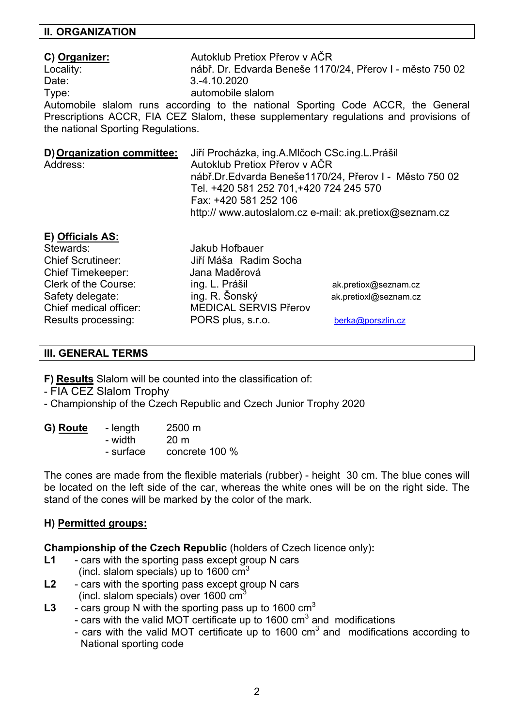#### **II. ORGANIZATION**

## **C) Organizer:** Autoklub Pretiox Přerov v AČR Locality: nábř. Dr. Edvarda Beneše 1170/24, Přerov I - město 750 02 Date: 3.-4.10.2020 Type: The contract of the contract automobile slalom

Automobile slalom runs according to the national Sporting Code ACCR, the General Prescriptions ACCR, FIA CEZ Slalom, these supplementary regulations and provisions of the national Sporting Regulations.

|          | D) Organization committee: Jiří Procházka, ing.A.Mlčoch CSc.ing.L.Prášil |
|----------|--------------------------------------------------------------------------|
| Address: | Autoklub Pretiox Přerov v AČR                                            |
|          | nábř. Dr. Edvarda Beneše 1170/24, Přerov I - Město 750 02                |
|          | Tel. +420 581 252 701, +420 724 245 570                                  |
|          | Fax: +420 581 252 106                                                    |
|          | http:// www.autoslalom.cz e-mail: ak.pretiox@seznam.cz                   |

#### **E) Officials AS:**

Stewards: Jakub Hofbauer Chief Timekeeper: Jana Maděrová

Chief Scrutineer: Jiří Máša Radim Socha Clerk of the Course: ing. L. Prášil ak.pretiox@seznam.cz Safety delegate: ing. R. Šonský ak.pretioxl@seznam.cz Chief medical officer: MEDICAL SERVIS Přerov Results processing: PORS plus, s.r.o. berka@porszlin.cz

#### **III. GENERAL TERMS**

**F) Results** Slalom will be counted into the classification of:

- FIA CEZ Slalom Trophy

- Championship of the Czech Republic and Czech Junior Trophy 2020

| G) Route | - length  | $2500 \text{ m}$ |
|----------|-----------|------------------|
|          | - width   | 20 <sub>m</sub>  |
|          | - surface | concrete 100 %   |

The cones are made from the flexible materials (rubber) - height 30 cm. The blue cones will be located on the left side of the car, whereas the white ones will be on the right side. The stand of the cones will be marked by the color of the mark.

#### **H) Permitted groups:**

**Championship of the Czech Republic** (holders of Czech licence only)**:** 

- L1 cars with the sporting pass except group N cars (incl. slalom specials) up to 1600  $\text{cm}^3$
- **L2**  cars with the sporting pass except group N cars (incl. slalom specials) over 1600  $cm<sup>3</sup>$
- L3 cars group N with the sporting pass up to 1600 cm<sup>3</sup>
	- cars with the valid MOT certificate up to 1600  $\text{cm}^3$  and modifications
	- cars with the valid MOT certificate up to 1600  $\text{cm}^3$  and modifications according to National sporting code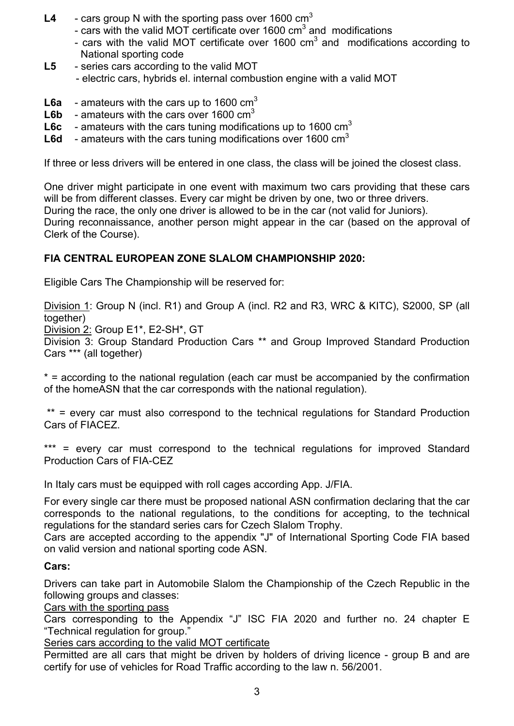- L4 cars group N with the sporting pass over 1600 cm<sup>3</sup>
	- cars with the valid MOT certificate over 1600  $\text{cm}^3$  and modifications
	- cars with the valid MOT certificate over 1600  $\text{cm}^3$  and modifications according to National sporting code
- **L5** series cars according to the valid MOT
	- electric cars, hybrids el. internal combustion engine with a valid MOT
- **L6a** amateurs with the cars up to 1600 cm<sup>3</sup>
- **L6b** amateurs with the cars over 1600 cm<sup>3</sup>
- **L6c** amateurs with the cars tuning modifications up to 1600 cm<sup>3</sup>
- L6d amateurs with the cars tuning modifications over 1600 cm<sup>3</sup>

If three or less drivers will be entered in one class, the class will be joined the closest class.

One driver might participate in one event with maximum two cars providing that these cars will be from different classes. Every car might be driven by one, two or three drivers. During the race, the only one driver is allowed to be in the car (not valid for Juniors). During reconnaissance, another person might appear in the car (based on the approval of Clerk of the Course).

## **FIA CENTRAL EUROPEAN ZONE SLALOM CHAMPIONSHIP 2020:**

Eligible Cars The Championship will be reserved for:

Division 1: Group N (incl. R1) and Group A (incl. R2 and R3, WRC & KITC), S2000, SP (all together)

Division 2: Group E1\*, E2-SH\*, GT

Division 3: Group Standard Production Cars \*\* and Group Improved Standard Production Cars \*\*\* (all together)

\* = according to the national regulation (each car must be accompanied by the confirmation of the homeASN that the car corresponds with the national regulation).

 \*\* = every car must also correspond to the technical regulations for Standard Production Cars of FIACEZ.

\*\*\* = every car must correspond to the technical regulations for improved Standard Production Cars of FIA-CEZ

In Italy cars must be equipped with roll cages according App. J/FIA.

For every single car there must be proposed national ASN confirmation declaring that the car corresponds to the national regulations, to the conditions for accepting, to the technical regulations for the standard series cars for Czech Slalom Trophy.

Cars are accepted according to the appendix "J" of International Sporting Code FIA based on valid version and national sporting code ASN.

#### **Cars:**

Drivers can take part in Automobile Slalom the Championship of the Czech Republic in the following groups and classes:

Cars with the sporting pass

Cars corresponding to the Appendix "J" ISC FIA 2020 and further no. 24 chapter E "Technical regulation for group."

Series cars according to the valid MOT certificate

Permitted are all cars that might be driven by holders of driving licence - group B and are certify for use of vehicles for Road Traffic according to the law n. 56/2001.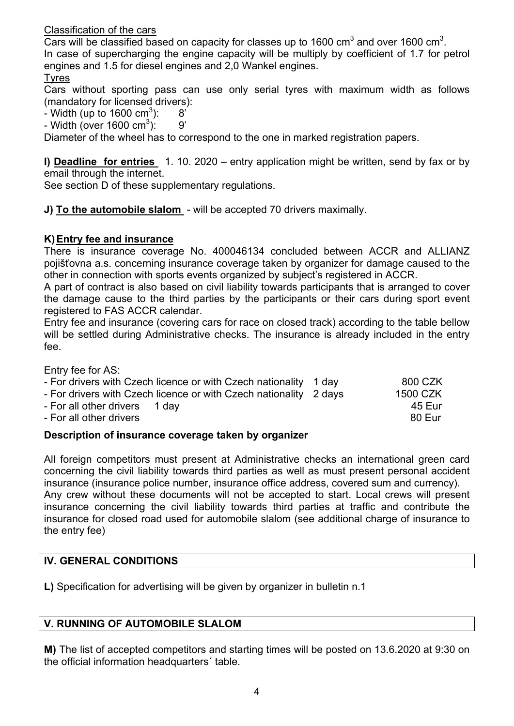Classification of the cars

Cars will be classified based on capacity for classes up to 1600  $\text{cm}^3$  and over 1600  $\text{cm}^3$ . In case of supercharging the engine capacity will be multiply by coefficient of 1.7 for petrol engines and 1.5 for diesel engines and 2,0 Wankel engines.

#### Tyres

Cars without sporting pass can use only serial tyres with maximum width as follows (mandatory for licensed drivers):

- Width (up to 1600 cm<sup>3</sup>): 8'

- Width (over 1600 cm<sup>3</sup>): 9'

Diameter of the wheel has to correspond to the one in marked registration papers.

**I) Deadline for entries** 1. 10. 2020 – entry application might be written, send by fax or by email through the internet.

See section D of these supplementary regulations.

**J) To the automobile slalom** - will be accepted 70 drivers maximally.

## **K) Entry fee and insurance**

There is insurance coverage No. 400046134 concluded between ACCR and ALLIANZ pojišťovna a.s. concerning insurance coverage taken by organizer for damage caused to the other in connection with sports events organized by subject's registered in ACCR.

A part of contract is also based on civil liability towards participants that is arranged to cover the damage cause to the third parties by the participants or their cars during sport event registered to FAS ACCR calendar.

Entry fee and insurance (covering cars for race on closed track) according to the table bellow will be settled during Administrative checks. The insurance is already included in the entry fee.

Entry fee for AS:

| - For drivers with Czech licence or with Czech nationality 1 day  | 800 CZK  |
|-------------------------------------------------------------------|----------|
| - For drivers with Czech licence or with Czech nationality 2 days | 1500 CZK |
| - For all other drivers 1 day                                     | 45 Eur   |
| - For all other drivers                                           | 80 Eur   |
|                                                                   |          |

## **Description of insurance coverage taken by organizer**

All foreign competitors must present at Administrative checks an international green card concerning the civil liability towards third parties as well as must present personal accident insurance (insurance police number, insurance office address, covered sum and currency). Any crew without these documents will not be accepted to start. Local crews will present insurance concerning the civil liability towards third parties at traffic and contribute the insurance for closed road used for automobile slalom (see additional charge of insurance to the entry fee)

## **IV. GENERAL CONDITIONS**

**L)** Specification for advertising will be given by organizer in bulletin n.1

## **V. RUNNING OF AUTOMOBILE SLALOM**

**M)** The list of accepted competitors and starting times will be posted on 13.6.2020 at 9:30 on the official information headquarters´ table.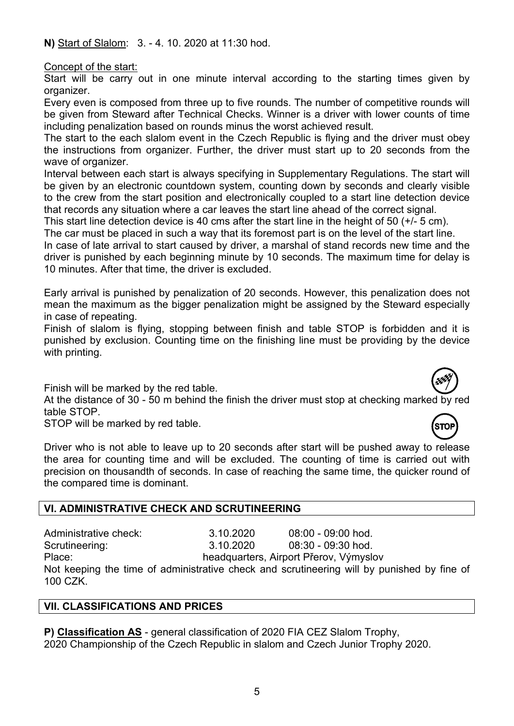**N)** Start of Slalom: 3. - 4. 10. 2020 at 11:30 hod.

Concept of the start:

Start will be carry out in one minute interval according to the starting times given by organizer.

Every even is composed from three up to five rounds. The number of competitive rounds will be given from Steward after Technical Checks. Winner is a driver with lower counts of time including penalization based on rounds minus the worst achieved result.

The start to the each slalom event in the Czech Republic is flying and the driver must obey the instructions from organizer. Further, the driver must start up to 20 seconds from the wave of organizer.

Interval between each start is always specifying in Supplementary Regulations. The start will be given by an electronic countdown system, counting down by seconds and clearly visible to the crew from the start position and electronically coupled to a start line detection device that records any situation where a car leaves the start line ahead of the correct signal.

This start line detection device is 40 cms after the start line in the height of 50 (+/- 5 cm).

The car must be placed in such a way that its foremost part is on the level of the start line.

In case of late arrival to start caused by driver, a marshal of stand records new time and the driver is punished by each beginning minute by 10 seconds. The maximum time for delay is 10 minutes. After that time, the driver is excluded.

Early arrival is punished by penalization of 20 seconds. However, this penalization does not mean the maximum as the bigger penalization might be assigned by the Steward especially in case of repeating.

Finish of slalom is flying, stopping between finish and table STOP is forbidden and it is punished by exclusion. Counting time on the finishing line must be providing by the device with printing.

Finish will be marked by the red table.

At the distance of 30 - 50 m behind the finish the driver must stop at checking marked by red table STOP.

STOP will be marked by red table.

Driver who is not able to leave up to 20 seconds after start will be pushed away to release the area for counting time and will be excluded. The counting of time is carried out with precision on thousandth of seconds. In case of reaching the same time, the quicker round of the compared time is dominant.

## **VI. ADMINISTRATIVE CHECK AND SCRUTINEERING**

Administrative check: 3.10.2020 08:00 - 09:00 hod. Scrutineering: 3.10.2020 08:30 - 09:30 hod. Place: headquarters, Airport Přerov, Výmyslov

Not keeping the time of administrative check and scrutineering will by punished by fine of 100 CZK.

## **VII. CLASSIFICATIONS AND PRICES**

**P) Classification AS** - general classification of 2020 FIA CEZ Slalom Trophy, 2020 Championship of the Czech Republic in slalom and Czech Junior Trophy 2020.